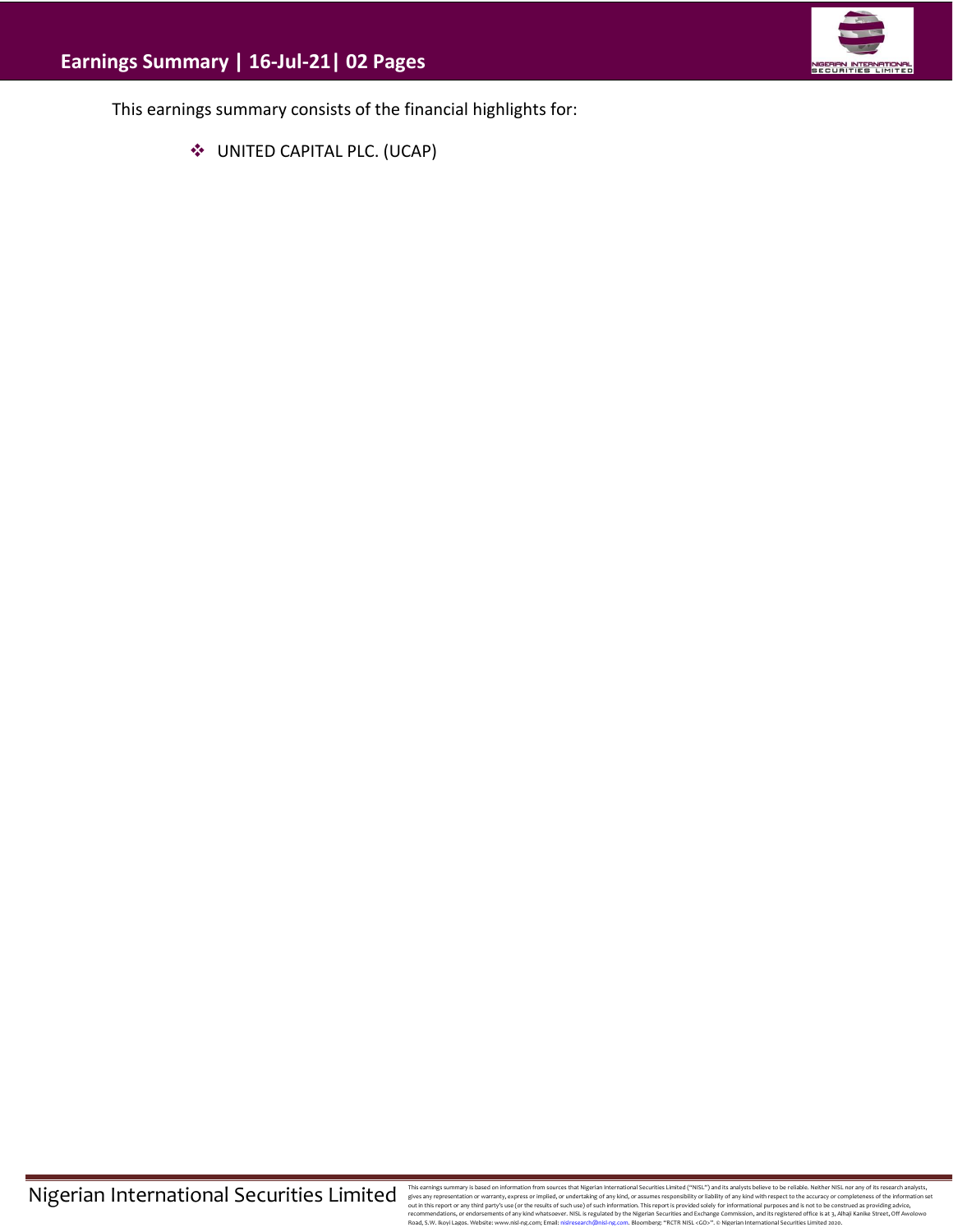

This earnings summary consists of the financial highlights for:

❖ UNITED CAPITAL PLC. (UCAP)

This earnings summary is based on information from sources that Migretian Interactional Securities Limitated ("WISL") and this analysts believe to be reliable. Neither NISL nor any of its research analysts, effects any exp